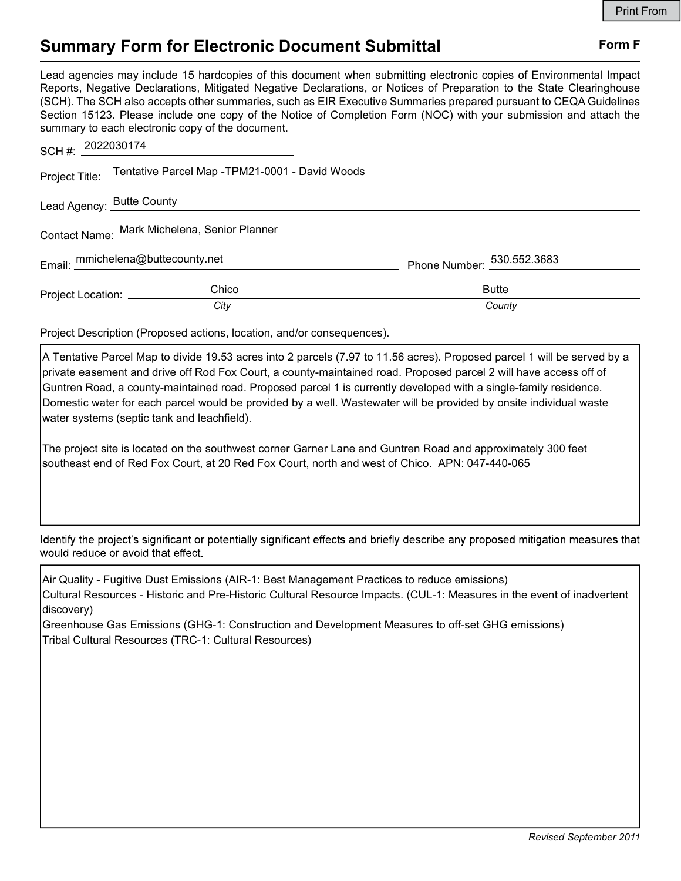## Summary Form for Electronic Document Submittal Form F

Lead agencies may include 15 hardcopies of this document when submitting electronic copies of Environmental Impact Reports, Negative Declarations, Mitigated Negative Declarations, or Notices of Preparation to the State Clearinghouse (SCH). The SCH also accepts other summaries, such as EIR Executive Summaries prepared pursuant to CEQA Guidelines Section 15123. Please include one copy of the Notice of Completion Form (NOC) with your submission and attach the summary to each electronic copy of the document.

| SCH #: $2022030174$                          |                                                               |                                        |
|----------------------------------------------|---------------------------------------------------------------|----------------------------------------|
|                                              | Project Title: Tentative Parcel Map -TPM21-0001 - David Woods |                                        |
| Lead Agency: Butte County                    |                                                               |                                        |
| Contact Name: Mark Michelena, Senior Planner |                                                               |                                        |
| Email: mmichelena@buttecounty.net            |                                                               | Phone Number: $\frac{530.552.3683}{2}$ |
| Project Location: __________                 | Chico                                                         | <b>Butte</b>                           |
|                                              | City                                                          | County                                 |

Project Description (Proposed actions, location, and/or consequences).

A Tentative Parcel Map to divide 19.53 acres into 2 parcels (7.97 to 11.56 acres). Proposed parcel 1 will be served by a private easement and drive off Rod Fox Court, a county-maintained road. Proposed parcel 2 will have access off of Guntren Road, a county-maintained road. Proposed parcel 1 is currently developed with a single-family residence. Domestic water for each parcel would be provided by a well. Wastewater will be provided by onsite individual waste water systems (septic tank and leachfield).

The project site is located on the southwest corner Garner Lane and Guntren Road and approximately 300 feet southeast end of Red Fox Court, at 20 Red Fox Court, north and west of Chico. APN: 047-440-065

Identify the project's significant or potentially significant effects and briefly describe any proposed mitigation measures that would reduce or avoid that effect.

Air Quality - Fugitive Dust Emissions (AIR-1: Best Management Practices to reduce emissions) Cultural Resources - Historic and Pre-Historic Cultural Resource Impacts. (CUL-1: Measures in the event of inadvertent discovery)

Greenhouse Gas Emissions (GHG-1: Construction and Development Measures to off-set GHG emissions) Tribal Cultural Resources (TRC-1: Cultural Resources)